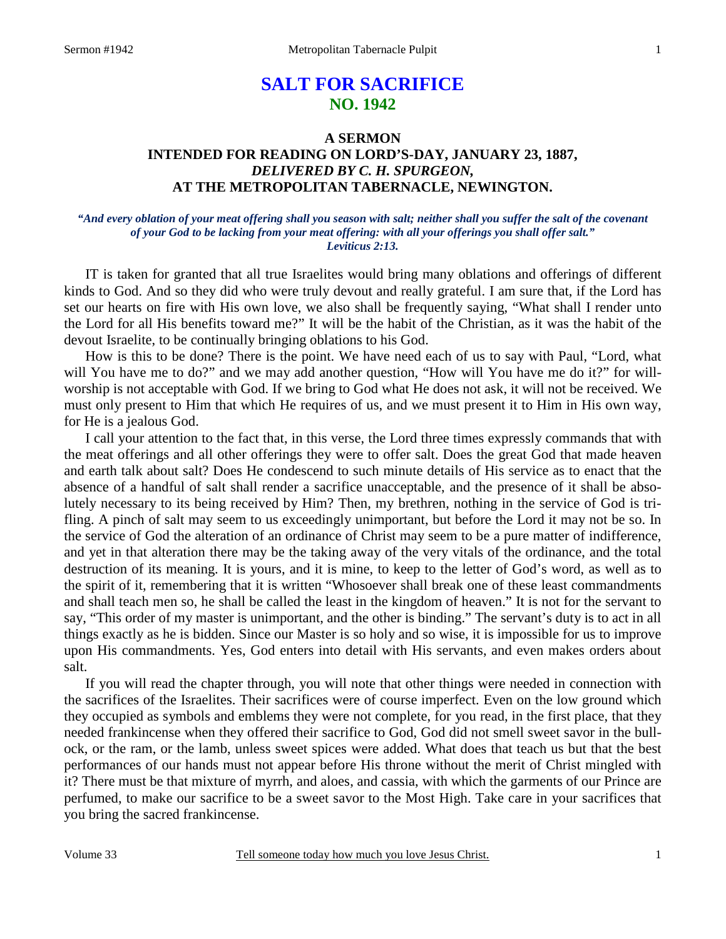# **SALT FOR SACRIFICE NO. 1942**

## **A SERMON INTENDED FOR READING ON LORD'S-DAY, JANUARY 23, 1887,**  *DELIVERED BY C. H. SPURGEON,*  **AT THE METROPOLITAN TABERNACLE, NEWINGTON.**

## *"And every oblation of your meat offering shall you season with salt; neither shall you suffer the salt of the covenant of your God to be lacking from your meat offering: with all your offerings you shall offer salt." Leviticus 2:13.*

IT is taken for granted that all true Israelites would bring many oblations and offerings of different kinds to God. And so they did who were truly devout and really grateful. I am sure that, if the Lord has set our hearts on fire with His own love, we also shall be frequently saying, "What shall I render unto the Lord for all His benefits toward me?" It will be the habit of the Christian, as it was the habit of the devout Israelite, to be continually bringing oblations to his God.

How is this to be done? There is the point. We have need each of us to say with Paul, "Lord, what will You have me to do?" and we may add another question, "How will You have me do it?" for willworship is not acceptable with God. If we bring to God what He does not ask, it will not be received. We must only present to Him that which He requires of us, and we must present it to Him in His own way, for He is a jealous God.

I call your attention to the fact that, in this verse, the Lord three times expressly commands that with the meat offerings and all other offerings they were to offer salt. Does the great God that made heaven and earth talk about salt? Does He condescend to such minute details of His service as to enact that the absence of a handful of salt shall render a sacrifice unacceptable, and the presence of it shall be absolutely necessary to its being received by Him? Then, my brethren, nothing in the service of God is trifling. A pinch of salt may seem to us exceedingly unimportant, but before the Lord it may not be so. In the service of God the alteration of an ordinance of Christ may seem to be a pure matter of indifference, and yet in that alteration there may be the taking away of the very vitals of the ordinance, and the total destruction of its meaning. It is yours, and it is mine, to keep to the letter of God's word, as well as to the spirit of it, remembering that it is written "Whosoever shall break one of these least commandments and shall teach men so, he shall be called the least in the kingdom of heaven." It is not for the servant to say, "This order of my master is unimportant, and the other is binding." The servant's duty is to act in all things exactly as he is bidden. Since our Master is so holy and so wise, it is impossible for us to improve upon His commandments. Yes, God enters into detail with His servants, and even makes orders about salt.

If you will read the chapter through, you will note that other things were needed in connection with the sacrifices of the Israelites. Their sacrifices were of course imperfect. Even on the low ground which they occupied as symbols and emblems they were not complete, for you read, in the first place, that they needed frankincense when they offered their sacrifice to God, God did not smell sweet savor in the bullock, or the ram, or the lamb, unless sweet spices were added. What does that teach us but that the best performances of our hands must not appear before His throne without the merit of Christ mingled with it? There must be that mixture of myrrh, and aloes, and cassia, with which the garments of our Prince are perfumed, to make our sacrifice to be a sweet savor to the Most High. Take care in your sacrifices that you bring the sacred frankincense.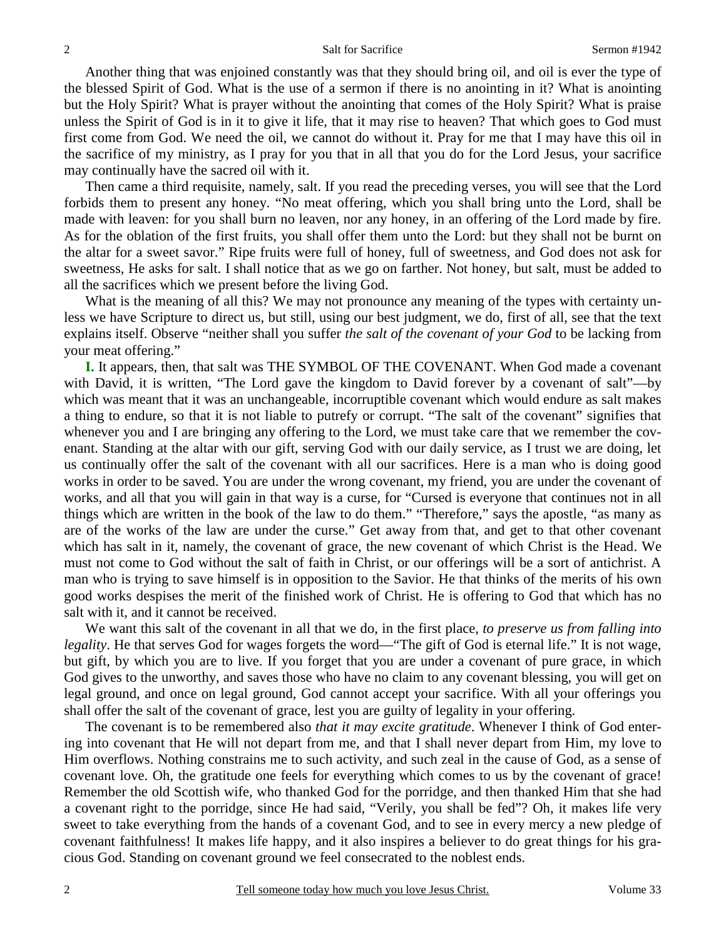Another thing that was enjoined constantly was that they should bring oil, and oil is ever the type of the blessed Spirit of God. What is the use of a sermon if there is no anointing in it? What is anointing but the Holy Spirit? What is prayer without the anointing that comes of the Holy Spirit? What is praise unless the Spirit of God is in it to give it life, that it may rise to heaven? That which goes to God must first come from God. We need the oil, we cannot do without it. Pray for me that I may have this oil in the sacrifice of my ministry, as I pray for you that in all that you do for the Lord Jesus, your sacrifice may continually have the sacred oil with it.

Then came a third requisite, namely, salt. If you read the preceding verses, you will see that the Lord forbids them to present any honey. "No meat offering, which you shall bring unto the Lord, shall be made with leaven: for you shall burn no leaven, nor any honey, in an offering of the Lord made by fire. As for the oblation of the first fruits, you shall offer them unto the Lord: but they shall not be burnt on the altar for a sweet savor." Ripe fruits were full of honey, full of sweetness, and God does not ask for sweetness, He asks for salt. I shall notice that as we go on farther. Not honey, but salt, must be added to all the sacrifices which we present before the living God.

What is the meaning of all this? We may not pronounce any meaning of the types with certainty unless we have Scripture to direct us, but still, using our best judgment, we do, first of all, see that the text explains itself. Observe "neither shall you suffer *the salt of the covenant of your God* to be lacking from your meat offering."

**I.** It appears, then, that salt was THE SYMBOL OF THE COVENANT. When God made a covenant with David, it is written, "The Lord gave the kingdom to David forever by a covenant of salt"—by which was meant that it was an unchangeable, incorruptible covenant which would endure as salt makes a thing to endure, so that it is not liable to putrefy or corrupt. "The salt of the covenant" signifies that whenever you and I are bringing any offering to the Lord, we must take care that we remember the covenant. Standing at the altar with our gift, serving God with our daily service, as I trust we are doing, let us continually offer the salt of the covenant with all our sacrifices. Here is a man who is doing good works in order to be saved. You are under the wrong covenant, my friend, you are under the covenant of works, and all that you will gain in that way is a curse, for "Cursed is everyone that continues not in all things which are written in the book of the law to do them." "Therefore," says the apostle, "as many as are of the works of the law are under the curse." Get away from that, and get to that other covenant which has salt in it, namely, the covenant of grace, the new covenant of which Christ is the Head. We must not come to God without the salt of faith in Christ, or our offerings will be a sort of antichrist. A man who is trying to save himself is in opposition to the Savior. He that thinks of the merits of his own good works despises the merit of the finished work of Christ. He is offering to God that which has no salt with it, and it cannot be received.

We want this salt of the covenant in all that we do, in the first place, *to preserve us from falling into legality*. He that serves God for wages forgets the word—"The gift of God is eternal life." It is not wage, but gift, by which you are to live. If you forget that you are under a covenant of pure grace, in which God gives to the unworthy, and saves those who have no claim to any covenant blessing, you will get on legal ground, and once on legal ground, God cannot accept your sacrifice. With all your offerings you shall offer the salt of the covenant of grace, lest you are guilty of legality in your offering.

The covenant is to be remembered also *that it may excite gratitude*. Whenever I think of God entering into covenant that He will not depart from me, and that I shall never depart from Him, my love to Him overflows. Nothing constrains me to such activity, and such zeal in the cause of God, as a sense of covenant love. Oh, the gratitude one feels for everything which comes to us by the covenant of grace! Remember the old Scottish wife, who thanked God for the porridge, and then thanked Him that she had a covenant right to the porridge, since He had said, "Verily, you shall be fed"? Oh, it makes life very sweet to take everything from the hands of a covenant God, and to see in every mercy a new pledge of covenant faithfulness! It makes life happy, and it also inspires a believer to do great things for his gracious God. Standing on covenant ground we feel consecrated to the noblest ends.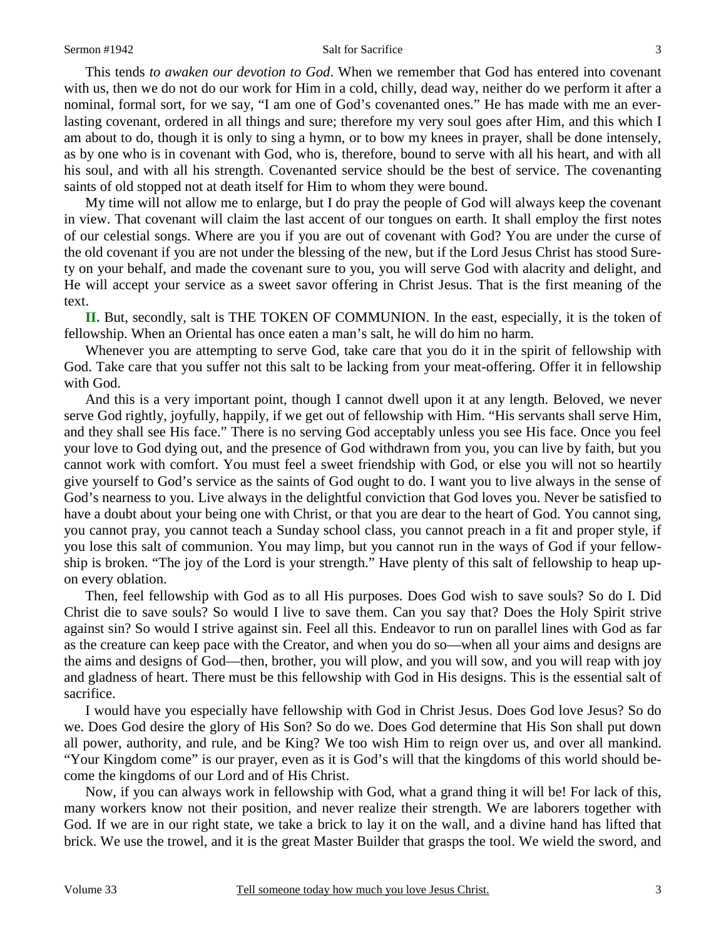#### Sermon #1942 Salt for Sacrifice 3

This tends *to awaken our devotion to God*. When we remember that God has entered into covenant with us, then we do not do our work for Him in a cold, chilly, dead way, neither do we perform it after a nominal, formal sort, for we say, "I am one of God's covenanted ones." He has made with me an everlasting covenant, ordered in all things and sure; therefore my very soul goes after Him, and this which I am about to do, though it is only to sing a hymn, or to bow my knees in prayer, shall be done intensely, as by one who is in covenant with God, who is, therefore, bound to serve with all his heart, and with all his soul, and with all his strength. Covenanted service should be the best of service. The covenanting saints of old stopped not at death itself for Him to whom they were bound.

My time will not allow me to enlarge, but I do pray the people of God will always keep the covenant in view. That covenant will claim the last accent of our tongues on earth. It shall employ the first notes of our celestial songs. Where are you if you are out of covenant with God? You are under the curse of the old covenant if you are not under the blessing of the new, but if the Lord Jesus Christ has stood Surety on your behalf, and made the covenant sure to you, you will serve God with alacrity and delight, and He will accept your service as a sweet savor offering in Christ Jesus. That is the first meaning of the text.

**II.** But, secondly, salt is THE TOKEN OF COMMUNION. In the east, especially, it is the token of fellowship. When an Oriental has once eaten a man's salt, he will do him no harm.

Whenever you are attempting to serve God, take care that you do it in the spirit of fellowship with God. Take care that you suffer not this salt to be lacking from your meat-offering. Offer it in fellowship with God.

And this is a very important point, though I cannot dwell upon it at any length. Beloved, we never serve God rightly, joyfully, happily, if we get out of fellowship with Him. "His servants shall serve Him, and they shall see His face." There is no serving God acceptably unless you see His face. Once you feel your love to God dying out, and the presence of God withdrawn from you, you can live by faith, but you cannot work with comfort. You must feel a sweet friendship with God, or else you will not so heartily give yourself to God's service as the saints of God ought to do. I want you to live always in the sense of God's nearness to you. Live always in the delightful conviction that God loves you. Never be satisfied to have a doubt about your being one with Christ, or that you are dear to the heart of God. You cannot sing, you cannot pray, you cannot teach a Sunday school class, you cannot preach in a fit and proper style, if you lose this salt of communion. You may limp, but you cannot run in the ways of God if your fellowship is broken. "The joy of the Lord is your strength." Have plenty of this salt of fellowship to heap upon every oblation.

Then, feel fellowship with God as to all His purposes. Does God wish to save souls? So do I. Did Christ die to save souls? So would I live to save them. Can you say that? Does the Holy Spirit strive against sin? So would I strive against sin. Feel all this. Endeavor to run on parallel lines with God as far as the creature can keep pace with the Creator, and when you do so—when all your aims and designs are the aims and designs of God—then, brother, you will plow, and you will sow, and you will reap with joy and gladness of heart. There must be this fellowship with God in His designs. This is the essential salt of sacrifice.

I would have you especially have fellowship with God in Christ Jesus. Does God love Jesus? So do we. Does God desire the glory of His Son? So do we. Does God determine that His Son shall put down all power, authority, and rule, and be King? We too wish Him to reign over us, and over all mankind. "Your Kingdom come" is our prayer, even as it is God's will that the kingdoms of this world should become the kingdoms of our Lord and of His Christ.

Now, if you can always work in fellowship with God, what a grand thing it will be! For lack of this, many workers know not their position, and never realize their strength. We are laborers together with God. If we are in our right state, we take a brick to lay it on the wall, and a divine hand has lifted that brick. We use the trowel, and it is the great Master Builder that grasps the tool. We wield the sword, and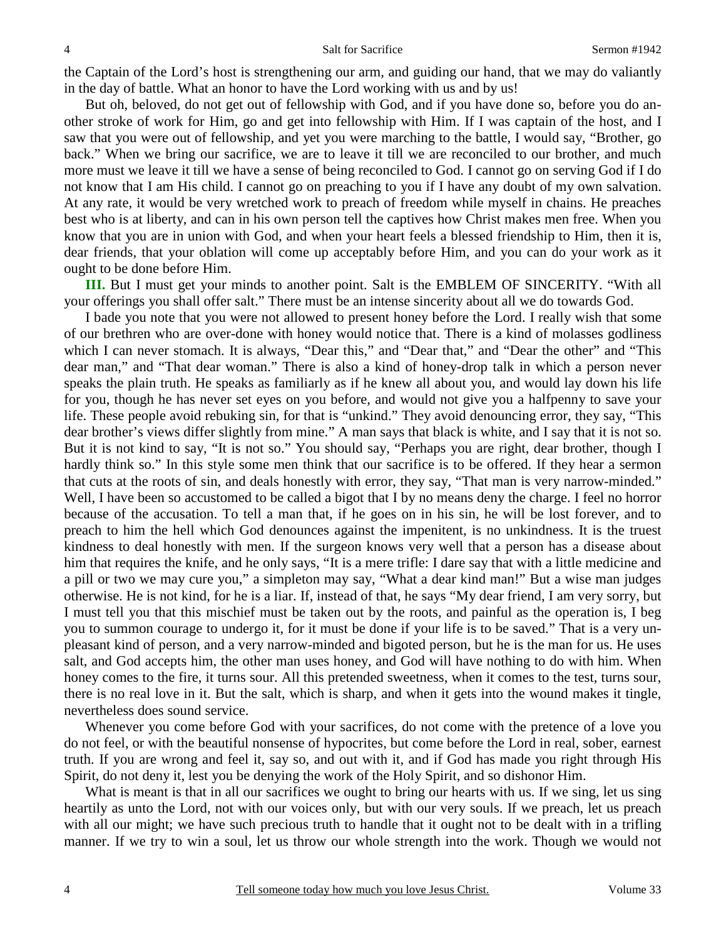the Captain of the Lord's host is strengthening our arm, and guiding our hand, that we may do valiantly in the day of battle. What an honor to have the Lord working with us and by us!

But oh, beloved, do not get out of fellowship with God, and if you have done so, before you do another stroke of work for Him, go and get into fellowship with Him. If I was captain of the host, and I saw that you were out of fellowship, and yet you were marching to the battle, I would say, "Brother, go back." When we bring our sacrifice, we are to leave it till we are reconciled to our brother, and much more must we leave it till we have a sense of being reconciled to God. I cannot go on serving God if I do not know that I am His child. I cannot go on preaching to you if I have any doubt of my own salvation. At any rate, it would be very wretched work to preach of freedom while myself in chains. He preaches best who is at liberty, and can in his own person tell the captives how Christ makes men free. When you know that you are in union with God, and when your heart feels a blessed friendship to Him, then it is, dear friends, that your oblation will come up acceptably before Him, and you can do your work as it ought to be done before Him.

**III.** But I must get your minds to another point. Salt is the EMBLEM OF SINCERITY. "With all your offerings you shall offer salt." There must be an intense sincerity about all we do towards God.

I bade you note that you were not allowed to present honey before the Lord. I really wish that some of our brethren who are over-done with honey would notice that. There is a kind of molasses godliness which I can never stomach. It is always, "Dear this," and "Dear that," and "Dear the other" and "This dear man," and "That dear woman." There is also a kind of honey-drop talk in which a person never speaks the plain truth. He speaks as familiarly as if he knew all about you, and would lay down his life for you, though he has never set eyes on you before, and would not give you a halfpenny to save your life. These people avoid rebuking sin, for that is "unkind." They avoid denouncing error, they say, "This dear brother's views differ slightly from mine." A man says that black is white, and I say that it is not so. But it is not kind to say, "It is not so." You should say, "Perhaps you are right, dear brother, though I hardly think so." In this style some men think that our sacrifice is to be offered. If they hear a sermon that cuts at the roots of sin, and deals honestly with error, they say, "That man is very narrow-minded." Well, I have been so accustomed to be called a bigot that I by no means deny the charge. I feel no horror because of the accusation. To tell a man that, if he goes on in his sin, he will be lost forever, and to preach to him the hell which God denounces against the impenitent, is no unkindness. It is the truest kindness to deal honestly with men. If the surgeon knows very well that a person has a disease about him that requires the knife, and he only says, "It is a mere trifle: I dare say that with a little medicine and a pill or two we may cure you," a simpleton may say, "What a dear kind man!" But a wise man judges otherwise. He is not kind, for he is a liar. If, instead of that, he says "My dear friend, I am very sorry, but I must tell you that this mischief must be taken out by the roots, and painful as the operation is, I beg you to summon courage to undergo it, for it must be done if your life is to be saved." That is a very unpleasant kind of person, and a very narrow-minded and bigoted person, but he is the man for us. He uses salt, and God accepts him, the other man uses honey, and God will have nothing to do with him. When honey comes to the fire, it turns sour. All this pretended sweetness, when it comes to the test, turns sour, there is no real love in it. But the salt, which is sharp, and when it gets into the wound makes it tingle, nevertheless does sound service.

Whenever you come before God with your sacrifices, do not come with the pretence of a love you do not feel, or with the beautiful nonsense of hypocrites, but come before the Lord in real, sober, earnest truth. If you are wrong and feel it, say so, and out with it, and if God has made you right through His Spirit, do not deny it, lest you be denying the work of the Holy Spirit, and so dishonor Him.

What is meant is that in all our sacrifices we ought to bring our hearts with us. If we sing, let us sing heartily as unto the Lord, not with our voices only, but with our very souls. If we preach, let us preach with all our might; we have such precious truth to handle that it ought not to be dealt with in a trifling manner. If we try to win a soul, let us throw our whole strength into the work. Though we would not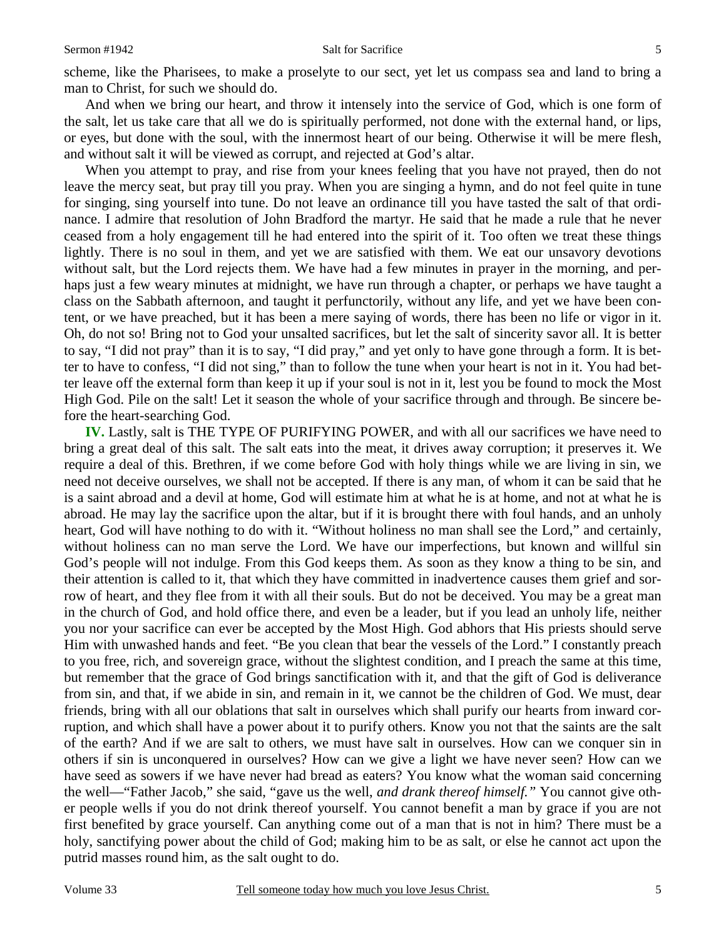scheme, like the Pharisees, to make a proselyte to our sect, yet let us compass sea and land to bring a man to Christ, for such we should do.

And when we bring our heart, and throw it intensely into the service of God, which is one form of the salt, let us take care that all we do is spiritually performed, not done with the external hand, or lips, or eyes, but done with the soul, with the innermost heart of our being. Otherwise it will be mere flesh, and without salt it will be viewed as corrupt, and rejected at God's altar.

When you attempt to pray, and rise from your knees feeling that you have not prayed, then do not leave the mercy seat, but pray till you pray. When you are singing a hymn, and do not feel quite in tune for singing, sing yourself into tune. Do not leave an ordinance till you have tasted the salt of that ordinance. I admire that resolution of John Bradford the martyr. He said that he made a rule that he never ceased from a holy engagement till he had entered into the spirit of it. Too often we treat these things lightly. There is no soul in them, and yet we are satisfied with them. We eat our unsavory devotions without salt, but the Lord rejects them. We have had a few minutes in prayer in the morning, and perhaps just a few weary minutes at midnight, we have run through a chapter, or perhaps we have taught a class on the Sabbath afternoon, and taught it perfunctorily, without any life, and yet we have been content, or we have preached, but it has been a mere saying of words, there has been no life or vigor in it. Oh, do not so! Bring not to God your unsalted sacrifices, but let the salt of sincerity savor all. It is better to say, "I did not pray" than it is to say, "I did pray," and yet only to have gone through a form. It is better to have to confess, "I did not sing," than to follow the tune when your heart is not in it. You had better leave off the external form than keep it up if your soul is not in it, lest you be found to mock the Most High God. Pile on the salt! Let it season the whole of your sacrifice through and through. Be sincere before the heart-searching God.

**IV.** Lastly, salt is THE TYPE OF PURIFYING POWER, and with all our sacrifices we have need to bring a great deal of this salt. The salt eats into the meat, it drives away corruption; it preserves it. We require a deal of this. Brethren, if we come before God with holy things while we are living in sin, we need not deceive ourselves, we shall not be accepted. If there is any man, of whom it can be said that he is a saint abroad and a devil at home, God will estimate him at what he is at home, and not at what he is abroad. He may lay the sacrifice upon the altar, but if it is brought there with foul hands, and an unholy heart, God will have nothing to do with it. "Without holiness no man shall see the Lord," and certainly, without holiness can no man serve the Lord. We have our imperfections, but known and willful sin God's people will not indulge. From this God keeps them. As soon as they know a thing to be sin, and their attention is called to it, that which they have committed in inadvertence causes them grief and sorrow of heart, and they flee from it with all their souls. But do not be deceived. You may be a great man in the church of God, and hold office there, and even be a leader, but if you lead an unholy life, neither you nor your sacrifice can ever be accepted by the Most High. God abhors that His priests should serve Him with unwashed hands and feet. "Be you clean that bear the vessels of the Lord." I constantly preach to you free, rich, and sovereign grace, without the slightest condition, and I preach the same at this time, but remember that the grace of God brings sanctification with it, and that the gift of God is deliverance from sin, and that, if we abide in sin, and remain in it, we cannot be the children of God. We must, dear friends, bring with all our oblations that salt in ourselves which shall purify our hearts from inward corruption, and which shall have a power about it to purify others. Know you not that the saints are the salt of the earth? And if we are salt to others, we must have salt in ourselves. How can we conquer sin in others if sin is unconquered in ourselves? How can we give a light we have never seen? How can we have seed as sowers if we have never had bread as eaters? You know what the woman said concerning the well—"Father Jacob," she said, "gave us the well, *and drank thereof himself."* You cannot give other people wells if you do not drink thereof yourself. You cannot benefit a man by grace if you are not first benefited by grace yourself. Can anything come out of a man that is not in him? There must be a holy, sanctifying power about the child of God; making him to be as salt, or else he cannot act upon the putrid masses round him, as the salt ought to do.